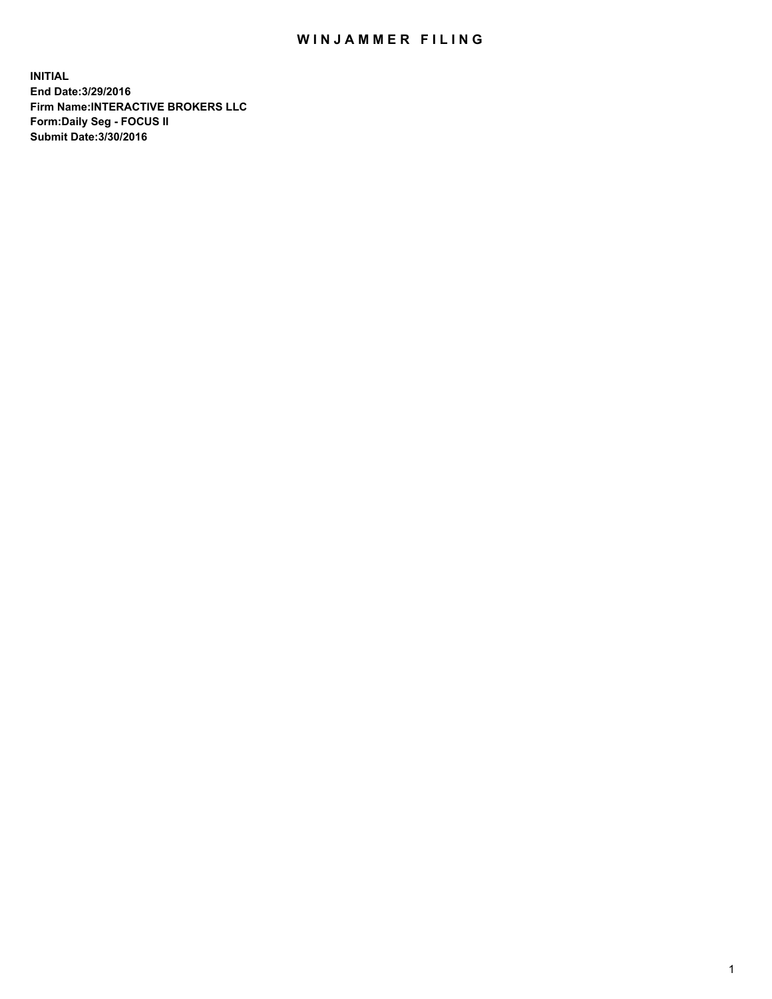## WIN JAMMER FILING

**INITIAL End Date:3/29/2016 Firm Name:INTERACTIVE BROKERS LLC Form:Daily Seg - FOCUS II Submit Date:3/30/2016**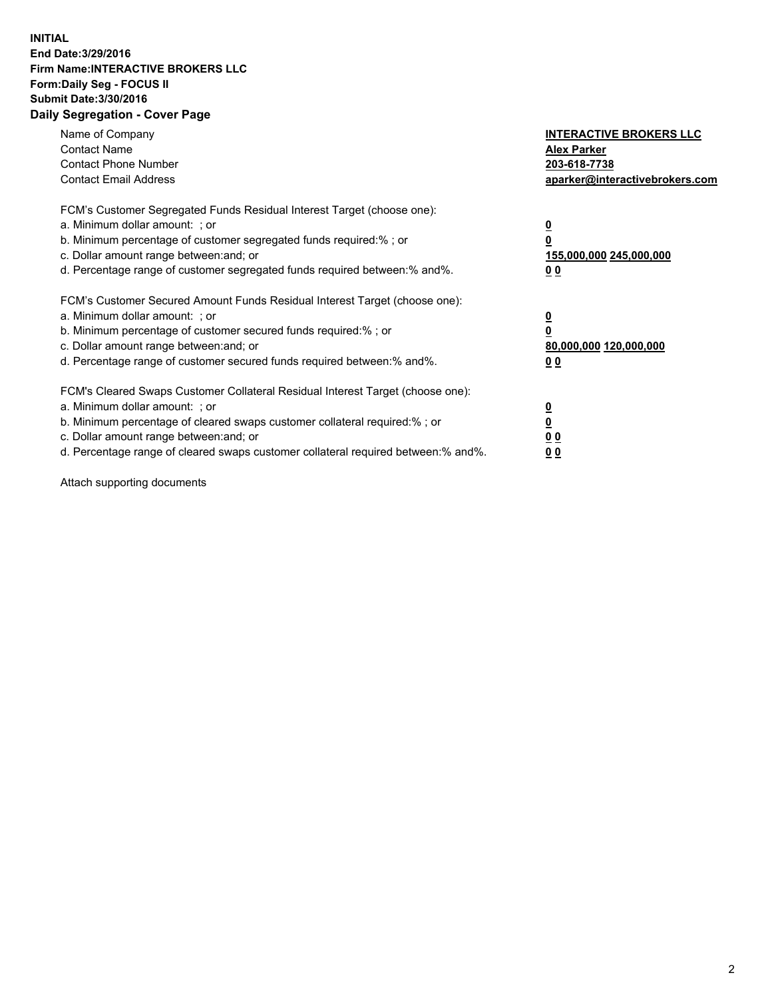## **INITIAL End Date:3/29/2016 Firm Name:INTERACTIVE BROKERS LLC Form:Daily Seg - FOCUS II Submit Date:3/30/2016 Daily Segregation - Cover Page**

| Name of Company<br><b>Contact Name</b><br><b>Contact Phone Number</b><br><b>Contact Email Address</b>                                                                                                                                                                                                                          | <b>INTERACTIVE BROKERS LLC</b><br><b>Alex Parker</b><br>203-618-7738<br>aparker@interactivebrokers.com |
|--------------------------------------------------------------------------------------------------------------------------------------------------------------------------------------------------------------------------------------------------------------------------------------------------------------------------------|--------------------------------------------------------------------------------------------------------|
| FCM's Customer Segregated Funds Residual Interest Target (choose one):<br>a. Minimum dollar amount: ; or<br>b. Minimum percentage of customer segregated funds required:% ; or<br>c. Dollar amount range between: and; or<br>d. Percentage range of customer segregated funds required between:% and%.                         | <u>0</u><br>155,000,000 245,000,000<br><u>00</u>                                                       |
| FCM's Customer Secured Amount Funds Residual Interest Target (choose one):<br>a. Minimum dollar amount: ; or<br>b. Minimum percentage of customer secured funds required:% ; or<br>c. Dollar amount range between: and; or<br>d. Percentage range of customer secured funds required between: % and %.                         | <u>0</u><br>80,000,000 120,000,000<br>0 <sub>0</sub>                                                   |
| FCM's Cleared Swaps Customer Collateral Residual Interest Target (choose one):<br>a. Minimum dollar amount: ; or<br>b. Minimum percentage of cleared swaps customer collateral required:% ; or<br>c. Dollar amount range between: and; or<br>d. Percentage range of cleared swaps customer collateral required between:% and%. | <u>0</u><br>0 <sub>0</sub><br>0 <sub>0</sub>                                                           |

Attach supporting documents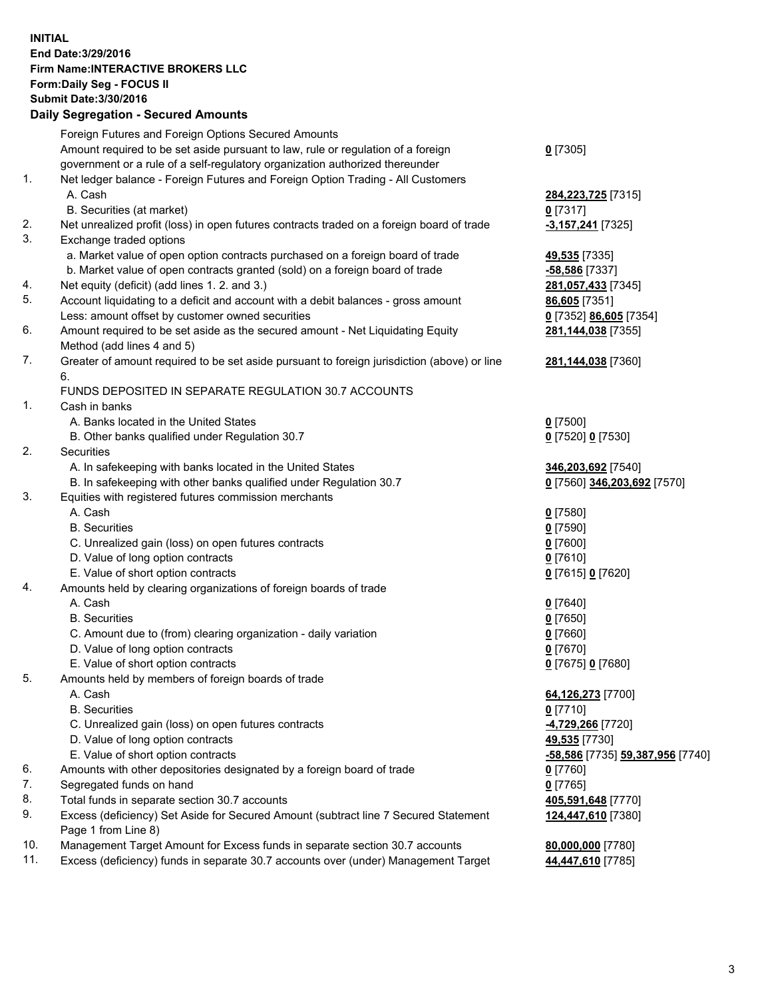## **INITIAL End Date:3/29/2016 Firm Name:INTERACTIVE BROKERS LLC Form:Daily Seg - FOCUS II Submit Date:3/30/2016 Daily Segregation - Secured Amounts**

|     | Dany Ocgregation - Oceanea Annoanta                                                                        |                                  |
|-----|------------------------------------------------------------------------------------------------------------|----------------------------------|
|     | Foreign Futures and Foreign Options Secured Amounts                                                        |                                  |
|     | Amount required to be set aside pursuant to law, rule or regulation of a foreign                           | $0$ [7305]                       |
|     | government or a rule of a self-regulatory organization authorized thereunder                               |                                  |
| 1.  | Net ledger balance - Foreign Futures and Foreign Option Trading - All Customers                            |                                  |
|     | A. Cash                                                                                                    | 284, 223, 725 [7315]             |
|     | B. Securities (at market)                                                                                  | $0$ [7317]                       |
| 2.  | Net unrealized profit (loss) in open futures contracts traded on a foreign board of trade                  | -3,157,241 [7325]                |
| 3.  | Exchange traded options                                                                                    |                                  |
|     | a. Market value of open option contracts purchased on a foreign board of trade                             | 49,535 [7335]                    |
|     | b. Market value of open contracts granted (sold) on a foreign board of trade                               | $-58,586$ [7337]                 |
| 4.  | Net equity (deficit) (add lines 1.2. and 3.)                                                               | 281,057,433 [7345]               |
| 5.  | Account liquidating to a deficit and account with a debit balances - gross amount                          | 86,605 [7351]                    |
|     | Less: amount offset by customer owned securities                                                           | 0 [7352] 86,605 [7354]           |
| 6.  | Amount required to be set aside as the secured amount - Net Liquidating Equity                             | 281,144,038 [7355]               |
|     | Method (add lines 4 and 5)                                                                                 |                                  |
| 7.  | Greater of amount required to be set aside pursuant to foreign jurisdiction (above) or line                | 281,144,038 [7360]               |
|     | 6.                                                                                                         |                                  |
|     | FUNDS DEPOSITED IN SEPARATE REGULATION 30.7 ACCOUNTS                                                       |                                  |
| 1.  | Cash in banks                                                                                              |                                  |
|     | A. Banks located in the United States                                                                      | $0$ [7500]                       |
|     | B. Other banks qualified under Regulation 30.7                                                             | 0 [7520] 0 [7530]                |
| 2.  | Securities                                                                                                 |                                  |
|     | A. In safekeeping with banks located in the United States                                                  | 346,203,692 [7540]               |
|     | B. In safekeeping with other banks qualified under Regulation 30.7                                         | 0 [7560] 346,203,692 [7570]      |
| 3.  | Equities with registered futures commission merchants                                                      |                                  |
|     | A. Cash                                                                                                    | $0$ [7580]                       |
|     | <b>B.</b> Securities                                                                                       | $0$ [7590]                       |
|     | C. Unrealized gain (loss) on open futures contracts                                                        | $0$ [7600]                       |
|     | D. Value of long option contracts                                                                          | $0$ [7610]                       |
|     | E. Value of short option contracts                                                                         | 0 [7615] 0 [7620]                |
| 4.  | Amounts held by clearing organizations of foreign boards of trade                                          |                                  |
|     | A. Cash                                                                                                    | $0$ [7640]                       |
|     | <b>B.</b> Securities                                                                                       | $0$ [7650]                       |
|     | C. Amount due to (from) clearing organization - daily variation                                            | $0$ [7660]                       |
|     | D. Value of long option contracts                                                                          | $0$ [7670]                       |
|     | E. Value of short option contracts                                                                         |                                  |
| 5.  |                                                                                                            | 0 [7675] 0 [7680]                |
|     | Amounts held by members of foreign boards of trade<br>A. Cash                                              |                                  |
|     |                                                                                                            | 64,126,273 [7700]                |
|     | <b>B.</b> Securities                                                                                       | $0$ [7710]                       |
|     | C. Unrealized gain (loss) on open futures contracts                                                        | 4,729,266 [7720]                 |
|     | D. Value of long option contracts                                                                          | 49,535 [7730]                    |
|     | E. Value of short option contracts                                                                         | -58,586 [7735] 59,387,956 [7740] |
| 6.  | Amounts with other depositories designated by a foreign board of trade                                     | 0 [7760]                         |
| 7.  | Segregated funds on hand                                                                                   | $0$ [7765]                       |
| 8.  | Total funds in separate section 30.7 accounts                                                              | 405,591,648 [7770]               |
| 9.  | Excess (deficiency) Set Aside for Secured Amount (subtract line 7 Secured Statement<br>Page 1 from Line 8) | 124,447,610 [7380]               |
| 10. | Management Target Amount for Excess funds in separate section 30.7 accounts                                | 80,000,000 [7780]                |
| 11. | Excess (deficiency) funds in separate 30.7 accounts over (under) Management Target                         | 44,447,610 [7785]                |
|     |                                                                                                            |                                  |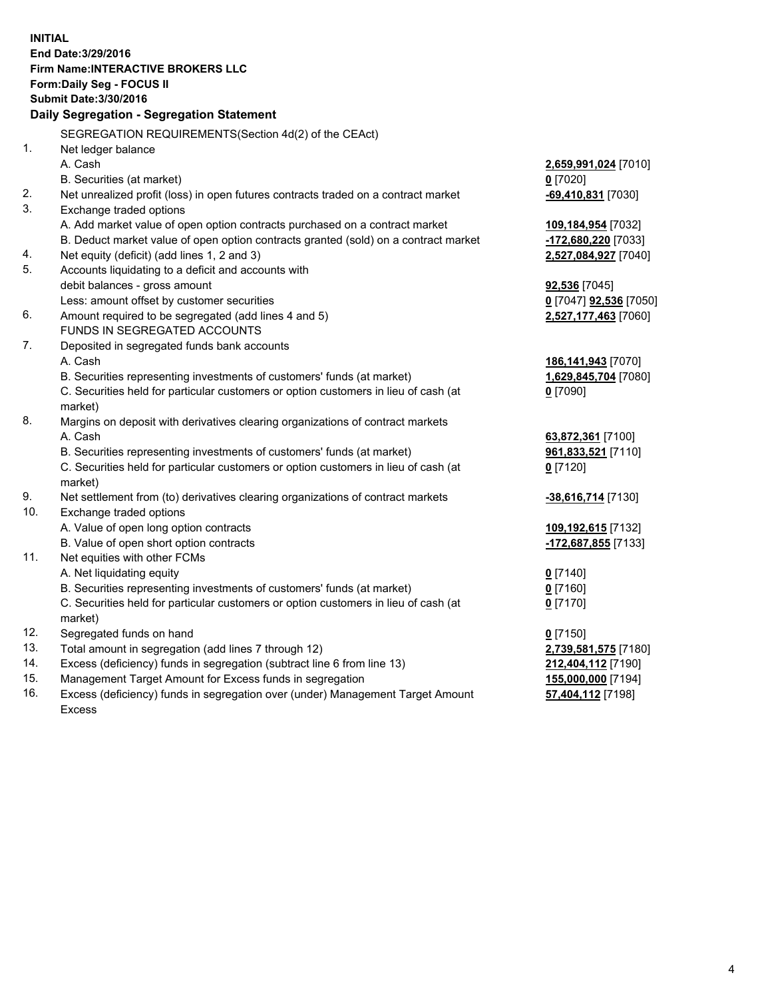**INITIAL End Date:3/29/2016 Firm Name:INTERACTIVE BROKERS LLC Form:Daily Seg - FOCUS II Submit Date:3/30/2016 Daily Segregation - Segregation Statement** SEGREGATION REQUIREMENTS(Section 4d(2) of the CEAct) 1. Net ledger balance A. Cash **2,659,991,024** [7010] B. Securities (at market) **0** [7020] 2. Net unrealized profit (loss) in open futures contracts traded on a contract market **-69,410,831** [7030] 3. Exchange traded options A. Add market value of open option contracts purchased on a contract market **109,184,954** [7032] B. Deduct market value of open option contracts granted (sold) on a contract market **-172,680,220** [7033] 4. Net equity (deficit) (add lines 1, 2 and 3) **2,527,084,927** [7040] 5. Accounts liquidating to a deficit and accounts with debit balances - gross amount **92,536** [7045] Less: amount offset by customer securities **0** [7047] **92,536** [7050] 6. Amount required to be segregated (add lines 4 and 5) **2,527,177,463** [7060] FUNDS IN SEGREGATED ACCOUNTS 7. Deposited in segregated funds bank accounts A. Cash **186,141,943** [7070] B. Securities representing investments of customers' funds (at market) **1,629,845,704** [7080] C. Securities held for particular customers or option customers in lieu of cash (at market) **0** [7090] 8. Margins on deposit with derivatives clearing organizations of contract markets A. Cash **63,872,361** [7100] B. Securities representing investments of customers' funds (at market) **961,833,521** [7110] C. Securities held for particular customers or option customers in lieu of cash (at market) **0** [7120] 9. Net settlement from (to) derivatives clearing organizations of contract markets **-38,616,714** [7130] 10. Exchange traded options A. Value of open long option contracts **109,192,615** [7132] B. Value of open short option contracts **-172,687,855** [7133] 11. Net equities with other FCMs A. Net liquidating equity **0** [7140] B. Securities representing investments of customers' funds (at market) **0** [7160] C. Securities held for particular customers or option customers in lieu of cash (at market) **0** [7170] 12. Segregated funds on hand **0** [7150] 13. Total amount in segregation (add lines 7 through 12) **2,739,581,575** [7180] 14. Excess (deficiency) funds in segregation (subtract line 6 from line 13) **212,404,112** [7190] 15. Management Target Amount for Excess funds in segregation **155,000,000** [7194] 16. Excess (deficiency) funds in segregation over (under) Management Target Amount **57,404,112** [7198]

Excess